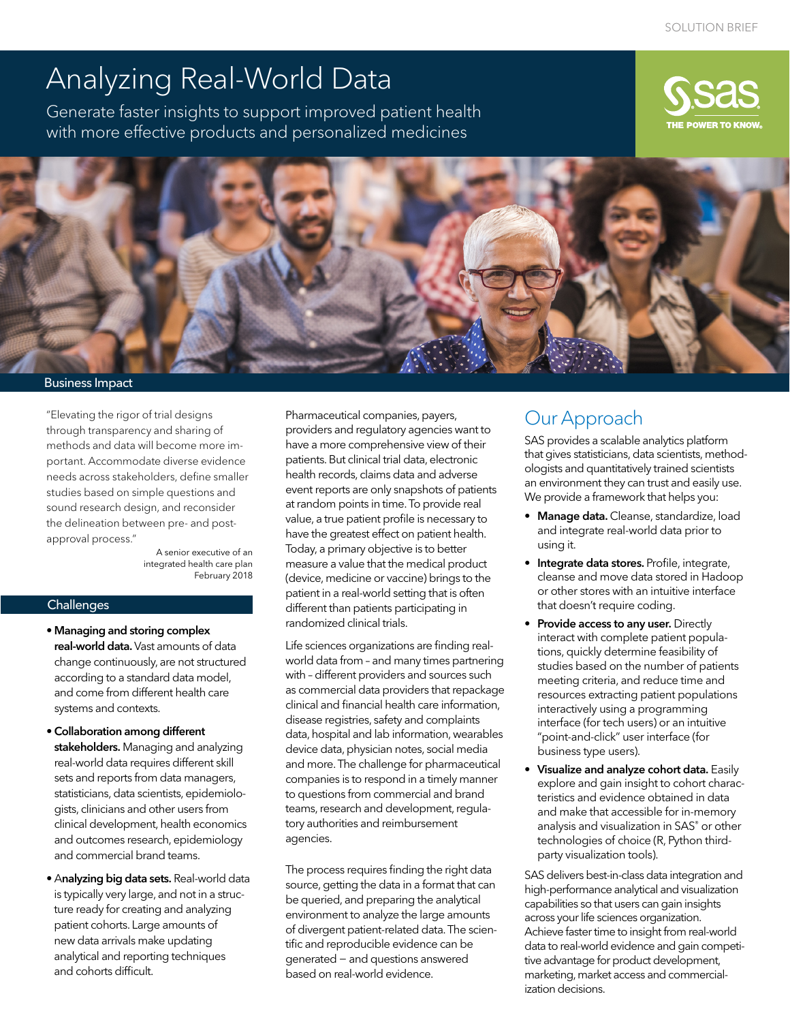# Analyzing Real-World Data

Generate faster insights to support improved patient health with more effective products and personalized medicines





#### Business Impact

"Elevating the rigor of trial designs through transparency and sharing of methods and data will become more important. Accommodate diverse evidence needs across stakeholders, define smaller studies based on simple questions and sound research design, and reconsider the delineation between pre- and postapproval process."

> A senior executive of an integrated health care plan February 2018

#### **Challenges**

- Managing and storing complex real-world data. Vast amounts of data change continuously, are not structured according to a standard data model, and come from different health care systems and contexts.
- •Collaboration among different stakeholders. Managing and analyzing real-world data requires different skill sets and reports from data managers, statisticians, data scientists, epidemiologists, clinicians and other users from clinical development, health economics and outcomes research, epidemiology and commercial brand teams.
- Analyzing big data sets. Real-world data is typically very large, and not in a structure ready for creating and analyzing patient cohorts. Large amounts of new data arrivals make updating analytical and reporting techniques and cohorts difficult.

Pharmaceutical companies, payers, providers and regulatory agencies want to have a more comprehensive view of their patients. But clinical trial data, electronic health records, claims data and adverse event reports are only snapshots of patients at random points in time. To provide real value, a true patient profile is necessary to have the greatest effect on patient health. Today, a primary objective is to better measure a value that the medical product (device, medicine or vaccine) brings to the patient in a real-world setting that is often different than patients participating in randomized clinical trials.

Life sciences organizations are finding realworld data from – and many times partnering with – different providers and sources such as commercial data providers that repackage clinical and financial health care information, disease registries, safety and complaints data, hospital and lab information, wearables device data, physician notes, social media and more. The challenge for pharmaceutical companies is to respond in a timely manner to questions from commercial and brand teams, research and development, regulatory authorities and reimbursement agencies.

The process requires finding the right data source, getting the data in a format that can be queried, and preparing the analytical environment to analyze the large amounts of divergent patient-related data. The scientific and reproducible evidence can be generated − and questions answered based on real-world evidence.

## Our Approach

SAS provides a scalable analytics platform that gives statisticians, data scientists, methodologists and quantitatively trained scientists an environment they can trust and easily use. We provide a framework that helps you:

- Manage data. Cleanse, standardize, load and integrate real-world data prior to using it.
- Integrate data stores. Profile, integrate, cleanse and move data stored in Hadoop or other stores with an intuitive interface that doesn't require coding.
- Provide access to any user. Directly interact with complete patient populations, quickly determine feasibility of studies based on the number of patients meeting criteria, and reduce time and resources extracting patient populations interactively using a programming interface (for tech users) or an intuitive "point-and-click" user interface (for business type users).
- Visualize and analyze cohort data. Easily explore and gain insight to cohort characteristics and evidence obtained in data and make that accessible for in-memory analysis and visualization in SAS® or other technologies of choice (R, Python thirdparty visualization tools).

SAS delivers best-in-class data integration and high-performance analytical and visualization capabilities so that users can gain insights across your life sciences organization. Achieve faster time to insight from real-world data to real-world evidence and gain competitive advantage for product development, marketing, market access and commercialization decisions.